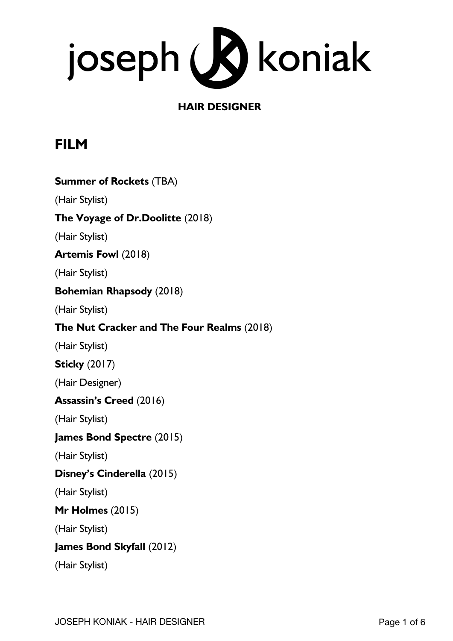

## **HAIR DESIGNER**

## **FILM**

| <b>Summer of Rockets (TBA)</b>             |
|--------------------------------------------|
| (Hair Stylist)                             |
| The Voyage of Dr.Doolitte (2018)           |
| (Hair Stylist)                             |
| <b>Artemis Fowl</b> (2018)                 |
| (Hair Stylist)                             |
| <b>Bohemian Rhapsody (2018)</b>            |
| (Hair Stylist)                             |
| The Nut Cracker and The Four Realms (2018) |
| (Hair Stylist)                             |
| <b>Sticky</b> (2017)                       |
| (Hair Designer)                            |
| <b>Assassin's Creed</b> (2016)             |
| (Hair Stylist)                             |
| <b>James Bond Spectre (2015)</b>           |
| (Hair Stylist)                             |
| Disney's Cinderella (2015)                 |
| (Hair Stylist)                             |
| Mr Holmes $(2015)$                         |
| (Hair Stylist)                             |
| James Bond Skyfall (2012)                  |
| (Hair Stylist)                             |
|                                            |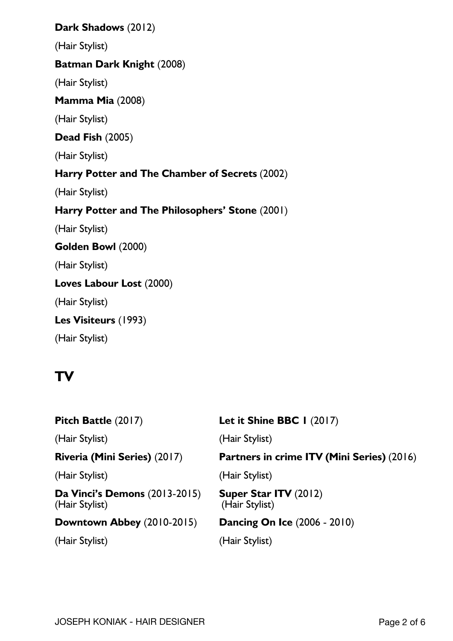### **Dark Shadows** (2012)

(Hair Stylist)

### **Batman Dark Knight** (2008)

(Hair Stylist)

### **Mamma Mia** (2008)

(Hair Stylist)

### **Dead Fish** (2005)

(Hair Stylist)

## **Harry Potter and The Chamber of Secrets** (2002)

(Hair Stylist)

## **Harry Potter and The Philosophers' Stone** (2001)

(Hair Stylist)

### **Golden Bowl** (2000)

(Hair Stylist)

## **Loves Labour Lost** (2000)

(Hair Stylist)

**Les Visiteurs** (1993)

(Hair Stylist)

# **TV**

| Pitch Battle (2017)                                    | Let it Shine BBC $\mid$ (2017)             |
|--------------------------------------------------------|--------------------------------------------|
| (Hair Stylist)                                         | (Hair Stylist)                             |
| Riveria (Mini Series) (2017)                           | Partners in crime ITV (Mini Series) (2016) |
| (Hair Stylist)                                         | (Hair Stylist)                             |
| <b>Da Vinci's Demons (2013-2015)</b><br>(Hair Stylist) | Super Star ITV (2012)<br>(Hair Stylist)    |
| Downtown Abbey (2010-2015)                             | <b>Dancing On Ice (2006 - 2010)</b>        |
| (Hair Stylist)                                         | (Hair Stylist)                             |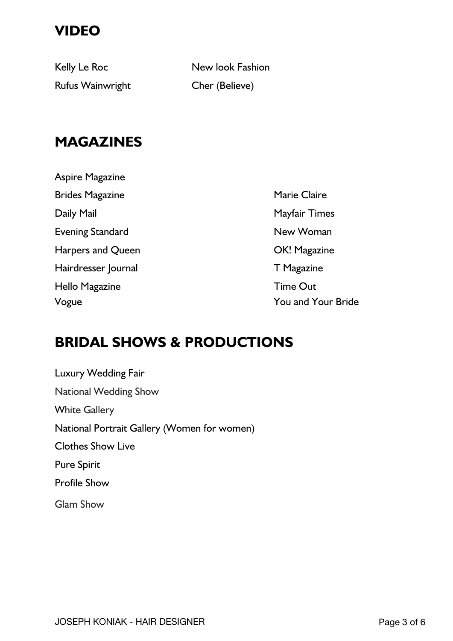# **VIDEO**

Rufus Wainwright Cher (Believe)

Kelly Le Roc New look Fashion

## **MAGAZINES**

Aspire Magazine Brides Magazine **Marie Claire** Marie Claire Daily Mail **Daily Mayfair Times** Evening Standard New Woman Harpers and Queen **Calculation** OK! Magazine Hairdresser Journal **T** Magazine Hello Magazine **Time Out** 

Vogue You and Your Bride

## **BRIDAL SHOWS & PRODUCTIONS**

Luxury Wedding Fair National Wedding Show White Gallery National Portrait Gallery (Women for women) Clothes Show Live Pure Spirit Profile Show Glam Show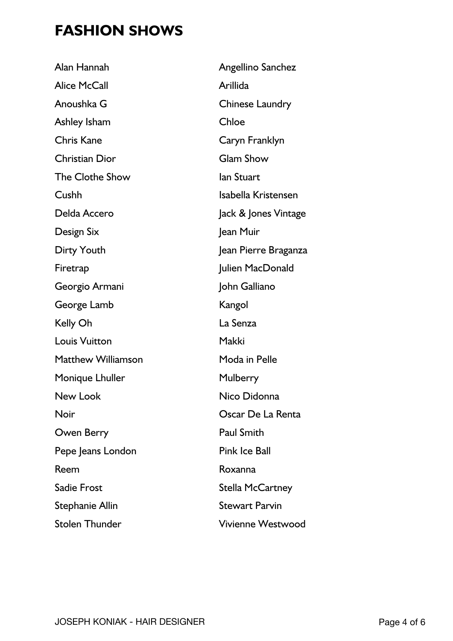# **FASHION SHOWS**

| Angellino Sanchez        |
|--------------------------|
| Arillida                 |
| <b>Chinese Laundry</b>   |
| Chloe                    |
| Caryn Franklyn           |
| <b>Glam Show</b>         |
| lan Stuart               |
| Isabella Kristensen      |
| Jack & Jones Vintage     |
| Jean Muir                |
| Jean Pierre Braganza     |
| Julien MacDonald         |
| John Galliano            |
| Kangol                   |
| La Senza                 |
| Makki                    |
| Moda in Pelle            |
| Mulberry                 |
| Nico Didonna             |
| Oscar De La Renta        |
| <b>Paul Smith</b>        |
| <b>Pink Ice Ball</b>     |
| Roxanna                  |
| <b>Stella McCartney</b>  |
| <b>Stewart Parvin</b>    |
| <b>Vivienne Westwood</b> |
|                          |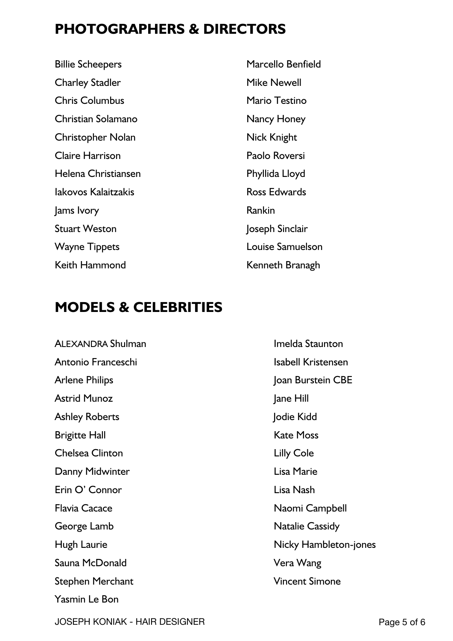## **PHOTOGRAPHERS & DIRECTORS**

Billie Scheepers Marcello Benfield Charley Stadler Mike Newell Chris Columbus **Mario Testino** Christian Solamano Nancy Honey Christopher Nolan Nick Knight Claire Harrison Paolo Roversi Helena Christiansen **Phyllida** Lloyd Iakovos Kalaitzakis **Ross Edwards** Jams Ivory Rankin Stuart Weston Joseph Sinclair Wayne Tippets **Louise Samuelson** Keith Hammond Kenneth Branagh

## **MODELS & CELEBRITIES**

ALEXANDRA Shulman **Imelda** Staunton Antonio Franceschi Isabell Kristensen Arlene Philips **Arlene** Philips **Joan Burstein CBE** Astrid Munoz and a lane Hill Ashley Roberts **Ashley Roberts Jodie Kidd** Brigitte Hall **Kate Moss Chelsea Clinton Lilly Cole** Danny Midwinter **Lisa Marie** Erin O' Connor Lisa Nash Flavia Cacace Naomi Campbell George Lamb **Natalie Cassidy** Hugh Laurie **Nicky Hambleton-jones** Sauna McDonald Vera Wang Stephen Merchant Vincent Simone Yasmin Le Bon

JOSEPH KONIAK - HAIR DESIGNER PAGE 1999 FOR STREET AND RANGE 1999 FOR STREET AND RANGE 1999 FOR STREET AND RANGE